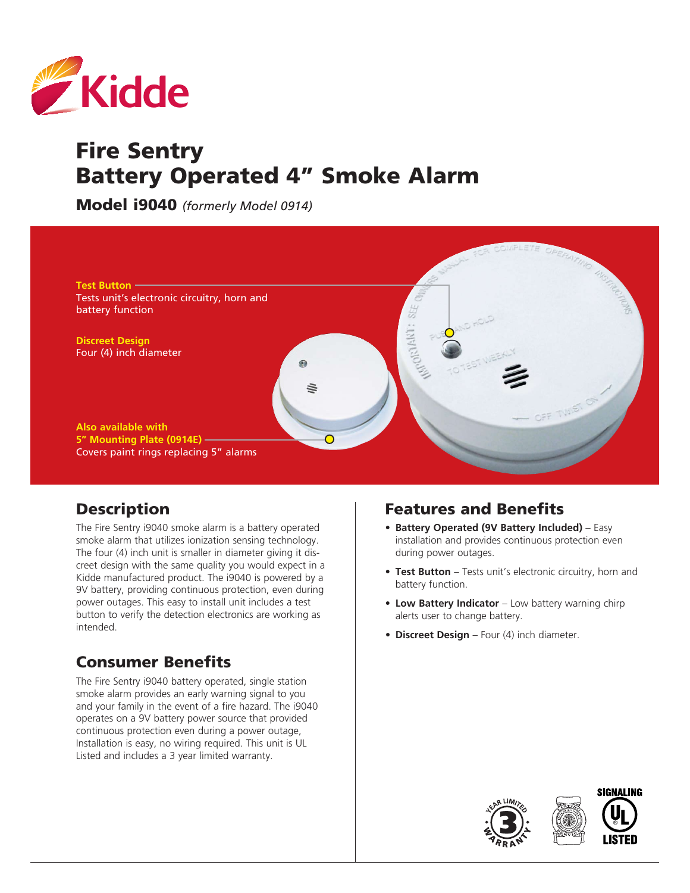

# Fire Sentry Battery Operated 4" Smoke Alarm

Model i9040 *(formerly Model 0914)*



## **Description**

The Fire Sentry i9040 smoke alarm is a battery operated smoke alarm that utilizes ionization sensing technology. The four (4) inch unit is smaller in diameter giving it discreet design with the same quality you would expect in a Kidde manufactured product. The i9040 is powered by a 9V battery, providing continuous protection, even during power outages. This easy to install unit includes a test button to verify the detection electronics are working as intended.

## Consumer Benefits

The Fire Sentry i9040 battery operated, single station smoke alarm provides an early warning signal to you and your family in the event of a fire hazard. The i9040 operates on a 9V battery power source that provided continuous protection even during a power outage, Installation is easy, no wiring required. This unit is UL Listed and includes a 3 year limited warranty.

## Features and Benefits

- **• Battery Operated (9V Battery Included)** Easy installation and provides continuous protection even during power outages.
- **• Test Button** Tests unit's electronic circuitry, horn and battery function.
- **• Low Battery Indicator** Low battery warning chirp alerts user to change battery.
- **• Discreet Design** Four (4) inch diameter.